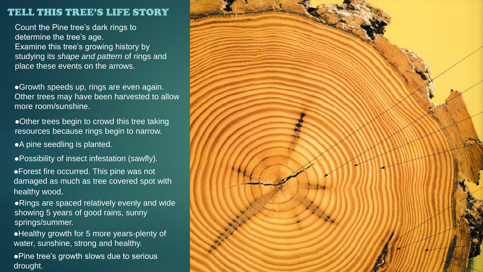## TELL THIS TREE'S LIFE STORY

Count the Pine tree's dark rings to determine the tree's age. Examine this tree's growing history by studying its *shape and pattern* of rings and place these events on the arrows.

⚫Growth speeds up, rings are even again. Other trees may have been harvested to allow more room/sunshine.

⚫Other trees begin to crowd this tree taking resources because rings begin to narrow.

⚫A pine seedling is planted.

⚫Possibility of insect infestation (sawfly).

⚫Forest fire occurred. This pine was not damaged as much as tree covered spot with healthy wood.

⚫Rings are spaced relatively evenly and wide showing 5 years of good rains, sunny springs/summer.

⚫Healthy growth for 5 more years-plenty of water, sunshine, strong and healthy.

⚫Pine tree's growth slows due to serious drought.